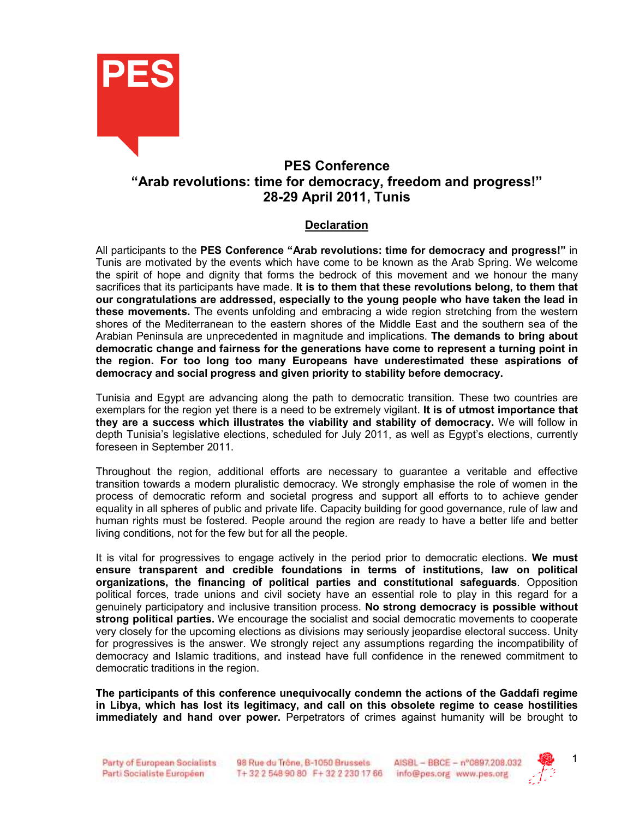

# PES Conference "Arab revolutions: time for democracy, freedom and progress!" 28-29 April 2011, Tunis

## **Declaration**

All participants to the PES Conference "Arab revolutions: time for democracy and progress!" in Tunis are motivated by the events which have come to be known as the Arab Spring. We welcome the spirit of hope and dignity that forms the bedrock of this movement and we honour the many sacrifices that its participants have made. It is to them that these revolutions belong, to them that our congratulations are addressed, especially to the young people who have taken the lead in these movements. The events unfolding and embracing a wide region stretching from the western shores of the Mediterranean to the eastern shores of the Middle East and the southern sea of the Arabian Peninsula are unprecedented in magnitude and implications. The demands to bring about democratic change and fairness for the generations have come to represent a turning point in the region. For too long too many Europeans have underestimated these aspirations of democracy and social progress and given priority to stability before democracy.

Tunisia and Egypt are advancing along the path to democratic transition. These two countries are exemplars for the region yet there is a need to be extremely vigilant. It is of utmost importance that they are a success which illustrates the viability and stability of democracy. We will follow in depth Tunisia's legislative elections, scheduled for July 2011, as well as Egypt's elections, currently foreseen in September 2011.

Throughout the region, additional efforts are necessary to guarantee a veritable and effective transition towards a modern pluralistic democracy. We strongly emphasise the role of women in the process of democratic reform and societal progress and support all efforts to to achieve gender equality in all spheres of public and private life. Capacity building for good governance, rule of law and human rights must be fostered. People around the region are ready to have a better life and better living conditions, not for the few but for all the people.

It is vital for progressives to engage actively in the period prior to democratic elections. We must ensure transparent and credible foundations in terms of institutions, law on political organizations, the financing of political parties and constitutional safeguards. Opposition political forces, trade unions and civil society have an essential role to play in this regard for a genuinely participatory and inclusive transition process. No strong democracy is possible without strong political parties. We encourage the socialist and social democratic movements to cooperate very closely for the upcoming elections as divisions may seriously jeopardise electoral success. Unity for progressives is the answer. We strongly reject any assumptions regarding the incompatibility of democracy and Islamic traditions, and instead have full confidence in the renewed commitment to democratic traditions in the region.

The participants of this conference unequivocally condemn the actions of the Gaddafi regime in Libya, which has lost its legitimacy, and call on this obsolete regime to cease hostilities immediately and hand over power. Perpetrators of crimes against humanity will be brought to

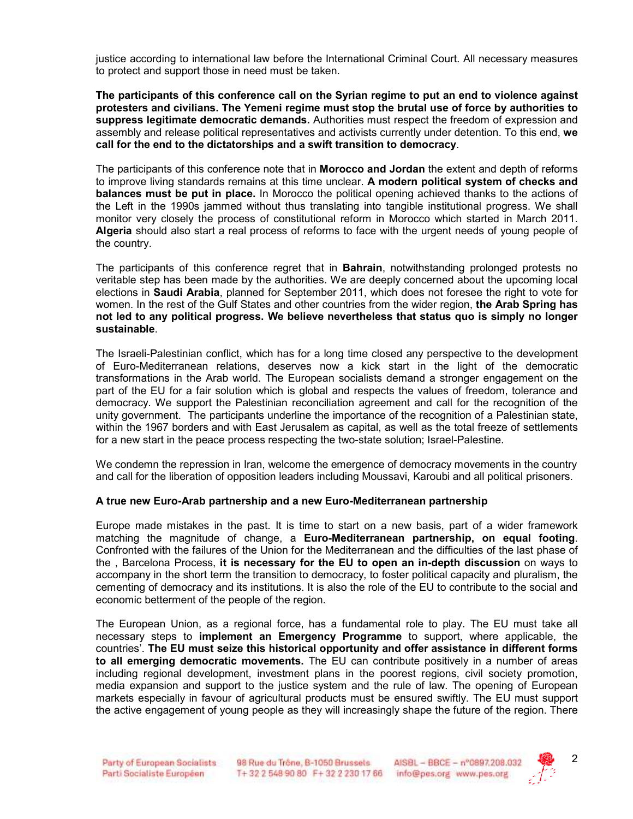justice according to international law before the International Criminal Court. All necessary measures to protect and support those in need must be taken.

The participants of this conference call on the Syrian regime to put an end to violence against protesters and civilians. The Yemeni regime must stop the brutal use of force by authorities to suppress legitimate democratic demands. Authorities must respect the freedom of expression and assembly and release political representatives and activists currently under detention. To this end, we call for the end to the dictatorships and a swift transition to democracy.

The participants of this conference note that in **Morocco and Jordan** the extent and depth of reforms to improve living standards remains at this time unclear. A modern political system of checks and balances must be put in place. In Morocco the political opening achieved thanks to the actions of the Left in the 1990s jammed without thus translating into tangible institutional progress. We shall monitor very closely the process of constitutional reform in Morocco which started in March 2011. Algeria should also start a real process of reforms to face with the urgent needs of young people of the country.

The participants of this conference regret that in Bahrain, notwithstanding prolonged protests no veritable step has been made by the authorities. We are deeply concerned about the upcoming local elections in Saudi Arabia, planned for September 2011, which does not foresee the right to vote for women. In the rest of the Gulf States and other countries from the wider region, the Arab Spring has not led to any political progress. We believe nevertheless that status quo is simply no longer sustainable.

The Israeli-Palestinian conflict, which has for a long time closed any perspective to the development of Euro-Mediterranean relations, deserves now a kick start in the light of the democratic transformations in the Arab world. The European socialists demand a stronger engagement on the part of the EU for a fair solution which is global and respects the values of freedom, tolerance and democracy. We support the Palestinian reconciliation agreement and call for the recognition of the unity government. The participants underline the importance of the recognition of a Palestinian state, within the 1967 borders and with East Jerusalem as capital, as well as the total freeze of settlements for a new start in the peace process respecting the two-state solution; Israel-Palestine.

We condemn the repression in Iran, welcome the emergence of democracy movements in the country and call for the liberation of opposition leaders including Moussavi, Karoubi and all political prisoners.

#### A true new Euro-Arab partnership and a new Euro-Mediterranean partnership

Europe made mistakes in the past. It is time to start on a new basis, part of a wider framework matching the magnitude of change, a Euro-Mediterranean partnership, on equal footing. Confronted with the failures of the Union for the Mediterranean and the difficulties of the last phase of the , Barcelona Process, it is necessary for the EU to open an in-depth discussion on ways to accompany in the short term the transition to democracy, to foster political capacity and pluralism, the cementing of democracy and its institutions. It is also the role of the EU to contribute to the social and economic betterment of the people of the region.

The European Union, as a regional force, has a fundamental role to play. The EU must take all necessary steps to implement an Emergency Programme to support, where applicable, the countries'. The EU must seize this historical opportunity and offer assistance in different forms to all emerging democratic movements. The EU can contribute positively in a number of areas including regional development, investment plans in the poorest regions, civil society promotion, media expansion and support to the justice system and the rule of law. The opening of European markets especially in favour of agricultural products must be ensured swiftly. The EU must support the active engagement of young people as they will increasingly shape the future of the region. There